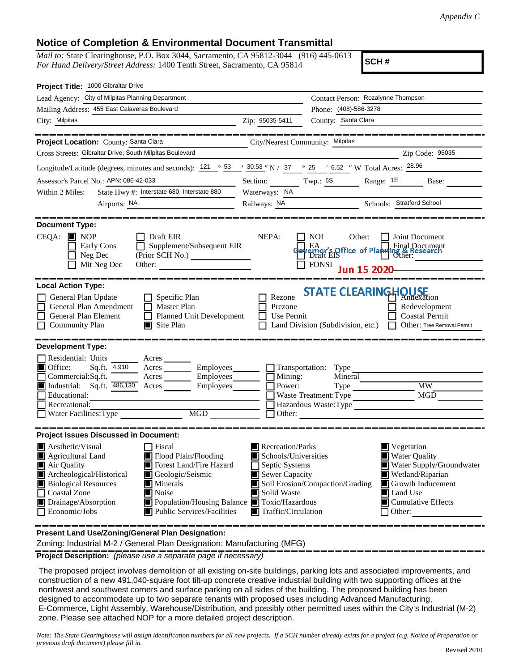## **Notice of Completion & Environmental Document Transmittal**

*Mail to:* State Clearinghouse, P.O. Box 3044, Sacramento, CA 95812-3044 (916) 445-0613 *For Hand Delivery/Street Address:* 1400 Tenth Street, Sacramento, CA 95814

**SCH #**

| Project Title: 1000 Gibraltar Drive                                                                                                                                                                                                                                                                                                                                                                                   |                                                                                                                                          |                                                                                                                                   |                                                                                                                                                                               |
|-----------------------------------------------------------------------------------------------------------------------------------------------------------------------------------------------------------------------------------------------------------------------------------------------------------------------------------------------------------------------------------------------------------------------|------------------------------------------------------------------------------------------------------------------------------------------|-----------------------------------------------------------------------------------------------------------------------------------|-------------------------------------------------------------------------------------------------------------------------------------------------------------------------------|
| Lead Agency: City of Milpitas Planning Department                                                                                                                                                                                                                                                                                                                                                                     |                                                                                                                                          | Contact Person: Rozalynne Thompson                                                                                                |                                                                                                                                                                               |
| Mailing Address: 455 East Calaveras Boulevard                                                                                                                                                                                                                                                                                                                                                                         |                                                                                                                                          | Phone: (408)-586-3278                                                                                                             |                                                                                                                                                                               |
| City: Milpitas                                                                                                                                                                                                                                                                                                                                                                                                        | Zip: 95035-5411                                                                                                                          | County: Santa Clara                                                                                                               |                                                                                                                                                                               |
| _______                                                                                                                                                                                                                                                                                                                                                                                                               |                                                                                                                                          |                                                                                                                                   |                                                                                                                                                                               |
| Project Location: County: Santa Clara                                                                                                                                                                                                                                                                                                                                                                                 |                                                                                                                                          | City/Nearest Community: Milpitas                                                                                                  |                                                                                                                                                                               |
| Cross Streets: Gibraltar Drive, South Milpitas Boulevard                                                                                                                                                                                                                                                                                                                                                              |                                                                                                                                          |                                                                                                                                   | Zip Code: 95035                                                                                                                                                               |
| Longitude/Latitude (degrees, minutes and seconds): $121 \degree 53 \degree 730.53 \degree N$ / 37 $\degree 25 \degree 6.52 \degree N$ Total Acres: $28.96$                                                                                                                                                                                                                                                            |                                                                                                                                          |                                                                                                                                   |                                                                                                                                                                               |
| Assessor's Parcel No.: APN: 086-42-033                                                                                                                                                                                                                                                                                                                                                                                |                                                                                                                                          |                                                                                                                                   | Section: Twp.: 68 Range: 1E Base:                                                                                                                                             |
| State Hwy #: Interstate 680, Interstate 880<br>Within 2 Miles:                                                                                                                                                                                                                                                                                                                                                        | Waterways: NA                                                                                                                            |                                                                                                                                   |                                                                                                                                                                               |
| Airports: NA                                                                                                                                                                                                                                                                                                                                                                                                          | Railways: NA                                                                                                                             |                                                                                                                                   | Schools: Stratford School                                                                                                                                                     |
| <b>Document Type:</b><br>$CEQA:$ MOP<br>$\Box$ Draft EIR<br>Supplement/Subsequent EIR<br>Early Cons<br>Neg Dec<br>(Prior SCH No.)<br>Mit Neg Dec<br>Other:                                                                                                                                                                                                                                                            | NEPA:                                                                                                                                    | Other: $\Box$<br>NOI DOMENTS<br><b>EA</b><br><b>Example 18 Office of Planning &amp; Research</b><br>The Unait EIS<br><b>FONSI</b> | Joint Document                                                                                                                                                                |
| <b>Local Action Type:</b><br>General Plan Update<br>$\Box$ Specific Plan<br>General Plan Amendment<br>$\Box$ Master Plan<br>General Plan Element<br>□ Planned Unit Development<br><b>Community Plan</b><br>$\blacksquare$ Site Plan                                                                                                                                                                                   | Rezone<br>Prezone<br>Use Permit                                                                                                          | <b>STATE CLEARINGHOUSE</b><br>Land Division (Subdivision, etc.)                                                                   | Redevelopment<br><b>Coastal Permit</b><br>Other: Tree Removal Permit                                                                                                          |
| <b>Development Type:</b>                                                                                                                                                                                                                                                                                                                                                                                              |                                                                                                                                          |                                                                                                                                   |                                                                                                                                                                               |
| Residential: Units<br>■ Office:<br>Acres Employees<br>Sq.ft. 4,910<br>Commercial:Sq.ft.<br>Employees<br>$Acres$ <sub>_______</sub><br>$\Box$ Industrial: Sq.ft. $\overline{486,130}$ Acres<br>Employees<br>Educational:<br>Recreational:<br>Water Facilities: Type                                                                                                                                                    | $\Box$ Mining:<br>Power:                                                                                                                 | $\Box$ Transportation: Type<br>Mineral<br>Type _______<br>Waste Treatment: Type<br>Hazardous Waste: Type<br>$\Box$ Other:         | <b>MW</b><br>MGD                                                                                                                                                              |
| <b>Project Issues Discussed in Document:</b>                                                                                                                                                                                                                                                                                                                                                                          |                                                                                                                                          |                                                                                                                                   |                                                                                                                                                                               |
| $\blacksquare$ Aesthetic/Visual<br>$\Box$ Fiscal<br>Agricultural Land<br>Flood Plain/Flooding<br>Forest Land/Fire Hazard<br>Air Quality<br>Archeological/Historical<br>Geologic/Seismic<br>Biological Resources<br>$\blacksquare$ Minerals<br><b>Coastal Zone</b><br>Noise<br>$\Box$ Drainage/Absorption<br>Population/Housing Balance <b>T</b> Toxic/Hazardous<br>$\Box$ Economic/Jobs<br>Public Services/Facilities | Recreation/Parks<br>Schools/Universities<br>$\Box$ Septic Systems<br>Sewer Capacity<br>Solid Waste<br>$\blacksquare$ Traffic/Circulation | Soil Erosion/Compaction/Grading                                                                                                   | ■ Vegetation<br><b>Water Quality</b><br>Water Supply/Groundwater<br>Wetland/Riparian<br><b>S</b> Growth Inducement<br>Land Use<br>$\blacksquare$ Cumulative Effects<br>Other: |
| Present Land Use/Zoning/General Plan Designation:                                                                                                                                                                                                                                                                                                                                                                     |                                                                                                                                          |                                                                                                                                   |                                                                                                                                                                               |

Zoning: Industrial M-2 / General Plan Designation: Manufacturing (MFG)

**Project Description:** *(please use a separate page if necessary)*

 The proposed project involves demolition of all existing on-site buildings, parking lots and associated improvements, and construction of a new 491,040-square foot tilt-up concrete creative industrial building with two supporting offices at the northwest and southwest corners and surface parking on all sides of the building. The proposed building has been designed to accommodate up to two separate tenants with proposed uses including Advanced Manufacturing, E-Commerce, Light Assembly, Warehouse/Distribution, and possibly other permitted uses within the City's Industrial (M-2) zone. Please see attached NOP for a more detailed project description.

*Note: The State Clearinghouse will assign identification numbers for all new projects. If a SCH number already exists for a project (e.g. Notice of Preparation or previous draft document) please fill in.*